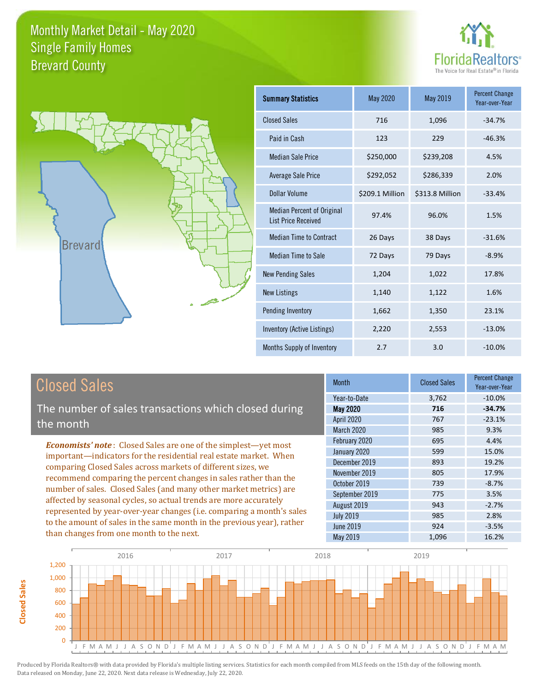



| <b>Summary Statistics</b>                                       | May 2020        | May 2019        | <b>Percent Change</b><br>Year-over-Year |
|-----------------------------------------------------------------|-----------------|-----------------|-----------------------------------------|
| <b>Closed Sales</b>                                             | 716             | 1,096           | $-34.7%$                                |
| Paid in Cash                                                    | 123             | 229             | $-46.3%$                                |
| <b>Median Sale Price</b>                                        | \$250,000       | \$239,208       | 4.5%                                    |
| <b>Average Sale Price</b>                                       | \$292,052       | \$286,339       | 2.0%                                    |
| Dollar Volume                                                   | \$209.1 Million | \$313.8 Million | $-33.4%$                                |
| <b>Median Percent of Original</b><br><b>List Price Received</b> | 97.4%           | 96.0%           | 1.5%                                    |
| <b>Median Time to Contract</b>                                  | 26 Days         | 38 Days         | $-31.6%$                                |
| Median Time to Sale                                             | 72 Days         | 79 Days         | $-8.9%$                                 |
| <b>New Pending Sales</b>                                        | 1,204           | 1,022           | 17.8%                                   |
| <b>New Listings</b>                                             | 1,140           | 1,122           | 1.6%                                    |
| Pending Inventory                                               | 1,662           | 1,350           | 23.1%                                   |
| Inventory (Active Listings)                                     | 2,220           | 2,553           | $-13.0%$                                |
| Months Supply of Inventory                                      | 2.7             | 3.0             | $-10.0%$                                |

# Closed Sales

The number of sales transactions which closed during the month

*Economists' note* : Closed Sales are one of the simplest—yet most important—indicators for the residential real estate market. When comparing Closed Sales across markets of different sizes, we recommend comparing the percent changes in sales rather than the number of sales. Closed Sales (and many other market metrics) are affected by seasonal cycles, so actual trends are more accurately represented by year-over-year changes (i.e. comparing a month's sales to the amount of sales in the same month in the previous year), rather than changes from one month to the next.

| Month             | <b>Closed Sales</b> | <b>Percent Change</b><br>Year-over-Year |
|-------------------|---------------------|-----------------------------------------|
| Year-to-Date      | 3,762               | $-10.0%$                                |
| <b>May 2020</b>   | 716                 | $-34.7%$                                |
| <b>April 2020</b> | 767                 | $-23.1%$                                |
| March 2020        | 985                 | 9.3%                                    |
| February 2020     | 695                 | 4.4%                                    |
| January 2020      | 599                 | 15.0%                                   |
| December 2019     | 893                 | 19.2%                                   |
| November 2019     | 805                 | 17.9%                                   |
| October 2019      | 739                 | $-8.7%$                                 |
| September 2019    | 775                 | 3.5%                                    |
| August 2019       | 943                 | $-2.7%$                                 |
| <b>July 2019</b>  | 985                 | 2.8%                                    |
| June 2019         | 924                 | $-3.5%$                                 |
| May 2019          | 1,096               | 16.2%                                   |

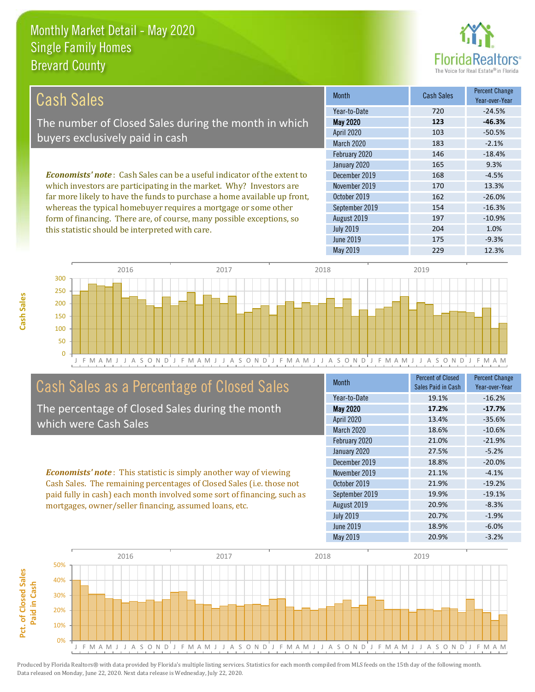this statistic should be interpreted with care.



204 1.0%

| Cash Sales                                                                     | <b>Month</b>      | <b>Cash Sales</b> | <b>Percent Change</b><br>Year-over-Year |
|--------------------------------------------------------------------------------|-------------------|-------------------|-----------------------------------------|
|                                                                                | Year-to-Date      | 720               | $-24.5%$                                |
| The number of Closed Sales during the month in which                           | <b>May 2020</b>   | 123               | $-46.3%$                                |
| buyers exclusively paid in cash                                                | <b>April 2020</b> | 103               | $-50.5%$                                |
|                                                                                | <b>March 2020</b> | 183               | $-2.1%$                                 |
|                                                                                | February 2020     | 146               | $-18.4%$                                |
|                                                                                | January 2020      | 165               | 9.3%                                    |
| <b>Economists' note:</b> Cash Sales can be a useful indicator of the extent to | December 2019     | 168               | $-4.5%$                                 |
| which investors are participating in the market. Why? Investors are            | November 2019     | 170               | 13.3%                                   |
| far more likely to have the funds to purchase a home available up front,       | October 2019      | 162               | $-26.0%$                                |
| whereas the typical homebuyer requires a mortgage or some other                | September 2019    | 154               | $-16.3%$                                |
| form of financing. There are, of course, many possible exceptions, so          | August 2019       | 197               | $-10.9%$                                |



# Cash Sales as a Percentage of Closed Sales

The percentage of Closed Sales during the month which were Cash Sales

*Economists' note* : This statistic is simply another way of viewing Cash Sales. The remaining percentages of Closed Sales (i.e. those not paid fully in cash) each month involved some sort of financing, such as mortgages, owner/seller financing, assumed loans, etc.

| <b>Month</b>      | <b>Percent of Closed</b><br>Sales Paid in Cash | <b>Percent Change</b><br>Year-over-Year |
|-------------------|------------------------------------------------|-----------------------------------------|
| Year-to-Date      | 19.1%                                          | $-16.2%$                                |
| <b>May 2020</b>   | 17.2%                                          | $-17.7%$                                |
| April 2020        | 13.4%                                          | $-35.6%$                                |
| <b>March 2020</b> | 18.6%                                          | $-10.6%$                                |
| February 2020     | 21.0%                                          | $-21.9%$                                |
| January 2020      | 27.5%                                          | $-5.2%$                                 |
| December 2019     | 18.8%                                          | $-20.0%$                                |
| November 2019     | 21.1%                                          | $-4.1%$                                 |
| October 2019      | 21.9%                                          | $-19.2%$                                |
| September 2019    | 19.9%                                          | $-19.1%$                                |
| August 2019       | 20.9%                                          | $-8.3%$                                 |
| <b>July 2019</b>  | 20.7%                                          | $-1.9%$                                 |
| June 2019         | 18.9%                                          | $-6.0%$                                 |
| <b>May 2019</b>   | 20.9%                                          | $-3.2%$                                 |

June 2019 **175** -9.3%

July 2019

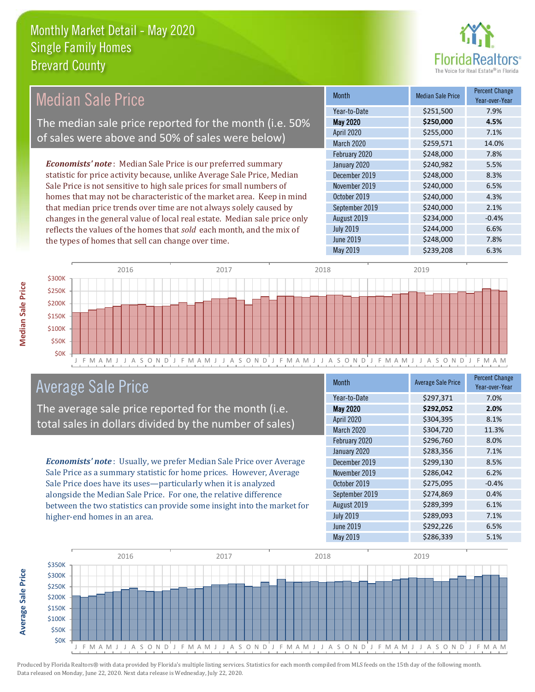

#### *Economists' note* : Median Sale Price is our preferred summary statistic for price activity because, unlike Average Sale Price, Median Sale Price is not sensitive to high sale prices for small numbers of homes that may not be characteristic of the market area. Keep in mind that median price trends over time are not always solely caused by changes in the general value of local real estate. Median sale price only reflects the values of the homes that *sold* each month, and the mix of the types of homes that sell can change over time. May 2019 **\$239,208** 6.3% July 2019 **\$244,000 6.6%** June 2019 **\$248,000** \$248,000 7.8% September 2019 **\$240,000** 2.1% August 2019 **\$234,000** -0.4% \$248,000 7.8% January 2020 \$240,982 5.5% October 2019 **\$240,000** \$240,000 4.3% April 2020 \$255,000 7.1% March 2020 \$259,571 14.0% December 2019 **\$248,000** 8.3% November 2019 **\$240,000** 6.5% February 2020 Month Median Sale Price Percent Change Year-over-Year May 2020 **6250,000 4.5%** Year-to-Date \$251,500 7.9% 2016 2017 2017 2018 2019 2019 Median Sale Price The median sale price reported for the month (i.e. 50% of sales were above and 50% of sales were below)



# Average Sale Price

The average sale price reported for the month (i.e. total sales in dollars divided by the number of sales)

*Economists' note* : Usually, we prefer Median Sale Price over Average Sale Price as a summary statistic for home prices. However, Average Sale Price does have its uses—particularly when it is analyzed alongside the Median Sale Price. For one, the relative difference between the two statistics can provide some insight into the market for higher-end homes in an area.

| <b>Month</b>      | <b>Average Sale Price</b> | <b>Percent Change</b><br>Year-over-Year |
|-------------------|---------------------------|-----------------------------------------|
| Year-to-Date      | \$297,371                 | 7.0%                                    |
| <b>May 2020</b>   | \$292,052                 | 2.0%                                    |
| April 2020        | \$304,395                 | 8.1%                                    |
| <b>March 2020</b> | \$304,720                 | 11.3%                                   |
| February 2020     | \$296,760                 | 8.0%                                    |
| January 2020      | \$283,356                 | 7.1%                                    |
| December 2019     | \$299,130                 | 8.5%                                    |
| November 2019     | \$286,042                 | 6.2%                                    |
| October 2019      | \$275,095                 | $-0.4%$                                 |
| September 2019    | \$274,869                 | 0.4%                                    |
| August 2019       | \$289,399                 | 6.1%                                    |
| <b>July 2019</b>  | \$289,093                 | 7.1%                                    |
| <b>June 2019</b>  | \$292,226                 | 6.5%                                    |
| May 2019          | \$286,339                 | 5.1%                                    |



**Average Sale Price**

**Average Sale Price**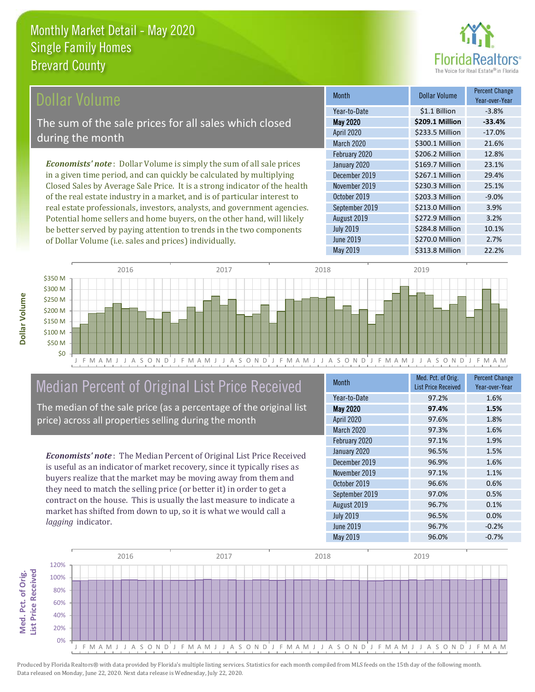

### Dollar Volume

The sum of the sale prices for all sales which closed during the month

*Economists' note* : Dollar Volume is simply the sum of all sale prices in a given time period, and can quickly be calculated by multiplying Closed Sales by Average Sale Price. It is a strong indicator of the health of the real estate industry in a market, and is of particular interest to real estate professionals, investors, analysts, and government agencies. Potential home sellers and home buyers, on the other hand, will likely be better served by paying attention to trends in the two components of Dollar Volume (i.e. sales and prices) individually.

| <b>Month</b>     | Dollar Volume   | <b>Percent Change</b><br>Year-over-Year |
|------------------|-----------------|-----------------------------------------|
| Year-to-Date     | \$1.1 Billion   | $-3.8%$                                 |
| <b>May 2020</b>  | \$209.1 Million | $-33.4%$                                |
| April 2020       | \$233.5 Million | $-17.0%$                                |
| March 2020       | \$300.1 Million | 21.6%                                   |
| February 2020    | \$206.2 Million | 12.8%                                   |
| January 2020     | \$169.7 Million | 23.1%                                   |
| December 2019    | \$267.1 Million | 29.4%                                   |
| November 2019    | \$230.3 Million | 25.1%                                   |
| October 2019     | \$203.3 Million | $-9.0%$                                 |
| September 2019   | \$213.0 Million | 3.9%                                    |
| August 2019      | \$272.9 Million | 3.2%                                    |
| <b>July 2019</b> | \$284.8 Million | 10.1%                                   |
| <b>June 2019</b> | \$270.0 Million | 2.7%                                    |
| <b>May 2019</b>  | \$313.8 Million | 22.2%                                   |



# Median Percent of Original List Price Received

The median of the sale price (as a percentage of the original list price) across all properties selling during the month

*Economists' note* : The Median Percent of Original List Price Received is useful as an indicator of market recovery, since it typically rises as buyers realize that the market may be moving away from them and they need to match the selling price (or better it) in order to get a contract on the house. This is usually the last measure to indicate a market has shifted from down to up, so it is what we would call a *lagging* indicator.

| <b>Month</b>      | Med. Pct. of Orig.<br><b>List Price Received</b> | <b>Percent Change</b><br>Year-over-Year |
|-------------------|--------------------------------------------------|-----------------------------------------|
| Year-to-Date      | 97.2%                                            | 1.6%                                    |
| <b>May 2020</b>   | 97.4%                                            | 1.5%                                    |
| April 2020        | 97.6%                                            | 1.8%                                    |
| <b>March 2020</b> | 97.3%                                            | 1.6%                                    |
| February 2020     | 97.1%                                            | 1.9%                                    |
| January 2020      | 96.5%                                            | 1.5%                                    |
| December 2019     | 96.9%                                            | 1.6%                                    |
| November 2019     | 97.1%                                            | 1.1%                                    |
| October 2019      | 96.6%                                            | 0.6%                                    |
| September 2019    | 97.0%                                            | 0.5%                                    |
| August 2019       | 96.7%                                            | 0.1%                                    |
| <b>July 2019</b>  | 96.5%                                            | 0.0%                                    |
| <b>June 2019</b>  | 96.7%                                            | $-0.2%$                                 |
| May 2019          | 96.0%                                            | $-0.7%$                                 |

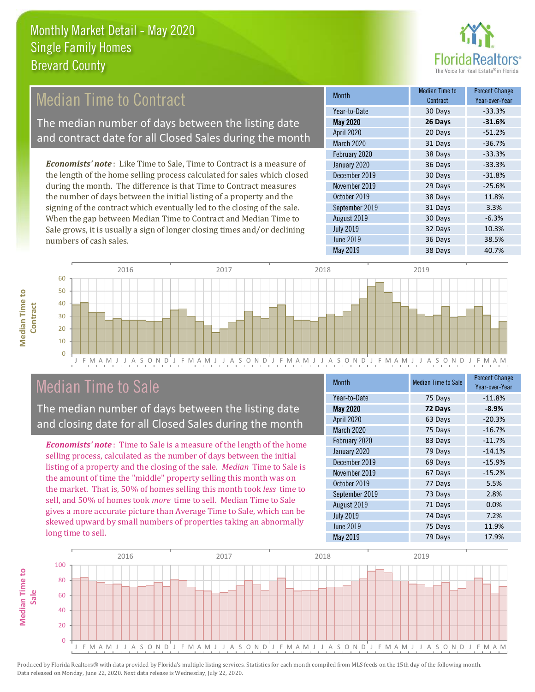

# Median Time to Contract

The median number of days between the listing date and contract date for all Closed Sales during the month

*Economists' note* : Like Time to Sale, Time to Contract is a measure of the length of the home selling process calculated for sales which closed during the month. The difference is that Time to Contract measures the number of days between the initial listing of a property and the signing of the contract which eventually led to the closing of the sale. When the gap between Median Time to Contract and Median Time to Sale grows, it is usually a sign of longer closing times and/or declining numbers of cash sales.

| Month            | <b>Median Time to</b><br>Contract | <b>Percent Change</b><br>Year-over-Year |
|------------------|-----------------------------------|-----------------------------------------|
| Year-to-Date     | 30 Days                           | $-33.3%$                                |
| <b>May 2020</b>  | 26 Days                           | $-31.6%$                                |
| April 2020       | 20 Days                           | $-51.2%$                                |
| March 2020       | 31 Days                           | $-36.7%$                                |
| February 2020    | 38 Days                           | $-33.3%$                                |
| January 2020     | 36 Days                           | $-33.3%$                                |
| December 2019    | 30 Days                           | $-31.8%$                                |
| November 2019    | 29 Days                           | $-25.6%$                                |
| October 2019     | 38 Days                           | 11.8%                                   |
| September 2019   | 31 Days                           | 3.3%                                    |
| August 2019      | 30 Days                           | $-6.3%$                                 |
| <b>July 2019</b> | 32 Days                           | 10.3%                                   |
| <b>June 2019</b> | 36 Days                           | 38.5%                                   |
| May 2019         | 38 Days                           | 40.7%                                   |





F M A M J J A S O N D<sup>'</sup>J F M A M J J A S O N D<sup>'</sup>J F M A M J J A S O N D<sup>'</sup>J F M A M J J A S O N D<sup>'</sup>J F M A M

Median Time to Sale

 $\Omega$ 

The median number of days between the listing date and closing date for all Closed Sales during the month

*Economists' note* : Time to Sale is a measure of the length of the home selling process, calculated as the number of days between the initial listing of a property and the closing of the sale. *Median* Time to Sale is the amount of time the "middle" property selling this month was on the market. That is, 50% of homes selling this month took *less* time to sell, and 50% of homes took *more* time to sell. Median Time to Sale gives a more accurate picture than Average Time to Sale, which can be skewed upward by small numbers of properties taking an abnormally long time to sell.

| <b>Month</b>      | <b>Median Time to Sale</b> | <b>Percent Change</b><br>Year-over-Year |
|-------------------|----------------------------|-----------------------------------------|
| Year-to-Date      | 75 Days                    | $-11.8%$                                |
| <b>May 2020</b>   | 72 Days                    | $-8.9%$                                 |
| <b>April 2020</b> | 63 Days                    | $-20.3%$                                |
| <b>March 2020</b> | 75 Days                    | $-16.7%$                                |
| February 2020     | 83 Days                    | $-11.7%$                                |
| January 2020      | 79 Days                    | $-14.1%$                                |
| December 2019     | 69 Days                    | $-15.9%$                                |
| November 2019     | 67 Days                    | $-15.2%$                                |
| October 2019      | 77 Days                    | 5.5%                                    |
| September 2019    | 73 Days                    | 2.8%                                    |
| August 2019       | 71 Days                    | 0.0%                                    |
| <b>July 2019</b>  | 74 Days                    | 7.2%                                    |
| <b>June 2019</b>  | 75 Days                    | 11.9%                                   |
| May 2019          | 79 Days                    | 17.9%                                   |

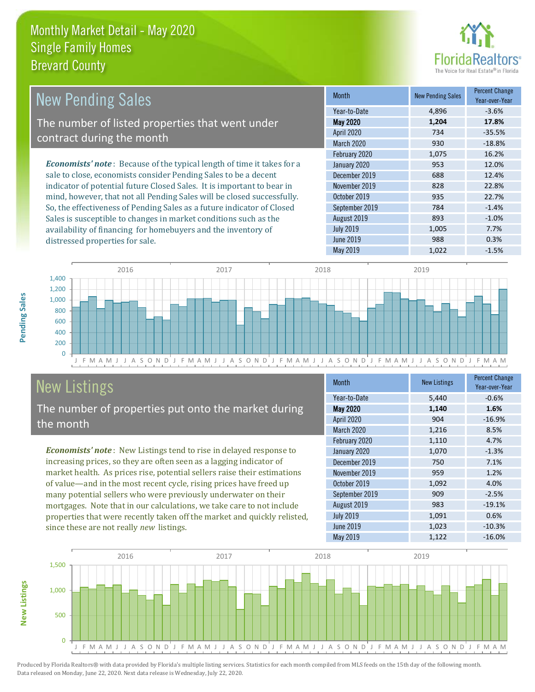

| New Pending Sales                                                             | <b>Month</b>      | <b>New Pending Sales</b> | <b>Percent Change</b><br>Year-over-Year |
|-------------------------------------------------------------------------------|-------------------|--------------------------|-----------------------------------------|
|                                                                               | Year-to-Date      | 4,896                    | $-3.6%$                                 |
| The number of listed properties that went under                               | <b>May 2020</b>   | 1.204                    | 17.8%                                   |
| contract during the month                                                     | <b>April 2020</b> | 734                      | $-35.5%$                                |
|                                                                               | <b>March 2020</b> | 930                      | $-18.8%$                                |
|                                                                               | February 2020     | 1,075                    | 16.2%                                   |
| <b>Economists' note:</b> Because of the typical length of time it takes for a | January 2020      | 953                      | 12.0%                                   |
| sale to close, economists consider Pending Sales to be a decent               | December 2019     | 688                      | 12.4%                                   |
| indicator of potential future Closed Sales. It is important to bear in        | November 2019     | 828                      | 22.8%                                   |
| mind, however, that not all Pending Sales will be closed successfully.        | October 2019      | 935                      | 22.7%                                   |
| So, the effectiveness of Pending Sales as a future indicator of Closed        | September 2019    | 784                      | $-1.4%$                                 |
| Sales is susceptible to changes in market conditions such as the              | August 2019       | 893                      | $-1.0%$                                 |



# New Listings

distressed properties for sale.

The number of properties put onto the market during the month

availability of financing for homebuyers and the inventory of

*Economists' note* : New Listings tend to rise in delayed response to increasing prices, so they are often seen as a lagging indicator of market health. As prices rise, potential sellers raise their estimations of value—and in the most recent cycle, rising prices have freed up many potential sellers who were previously underwater on their mortgages. Note that in our calculations, we take care to not include properties that were recently taken off the market and quickly relisted, since these are not really *new* listings.

| <b>Month</b>      | <b>New Listings</b> | <b>Percent Change</b><br>Year-over-Year |
|-------------------|---------------------|-----------------------------------------|
| Year-to-Date      | 5,440               | $-0.6%$                                 |
| <b>May 2020</b>   | 1,140               | 1.6%                                    |
| April 2020        | 904                 | $-16.9%$                                |
| <b>March 2020</b> | 1,216               | 8.5%                                    |
| February 2020     | 1,110               | 4.7%                                    |
| January 2020      | 1,070               | $-1.3%$                                 |
| December 2019     | 750                 | 7.1%                                    |
| November 2019     | 959                 | 1.2%                                    |
| October 2019      | 1,092               | 4.0%                                    |
| September 2019    | 909                 | $-2.5%$                                 |
| August 2019       | 983                 | $-19.1%$                                |
| <b>July 2019</b>  | 1,091               | 0.6%                                    |
| June 2019         | 1,023               | $-10.3%$                                |
| May 2019          | 1,122               | $-16.0%$                                |

July 2019 1,005 7.7% June 2019 **988** 0.3%



Produced by Florida Realtors® with data provided by Florida's multiple listing services. Statistics for each month compiled from MLS feeds on the 15th day of the following month. Data released on Monday, June 22, 2020. Next data release is Wednesday, July 22, 2020.

**New Listings**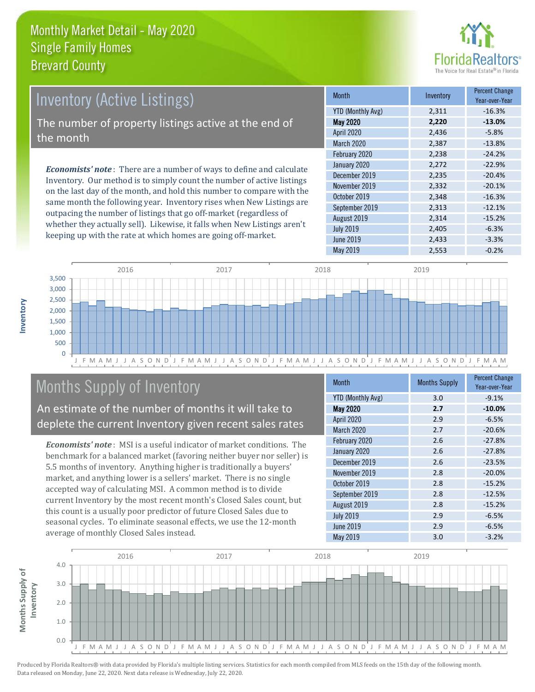

## Inventory (Active Listings) The number of property listings active at the end of the month

*Economists' note* : There are a number of ways to define and calculate Inventory. Our method is to simply count the number of active listings on the last day of the month, and hold this number to compare with the same month the following year. Inventory rises when New Listings are outpacing the number of listings that go off-market (regardless of whether they actually sell). Likewise, it falls when New Listings aren't keeping up with the rate at which homes are going off-market.

| <b>Month</b>             | Inventory | <b>Percent Change</b><br>Year-over-Year |
|--------------------------|-----------|-----------------------------------------|
| <b>YTD (Monthly Avg)</b> | 2,311     | $-16.3%$                                |
| <b>May 2020</b>          | 2,220     | $-13.0%$                                |
| April 2020               | 2,436     | $-5.8%$                                 |
| <b>March 2020</b>        | 2,387     | $-13.8%$                                |
| February 2020            | 2,238     | $-24.2%$                                |
| January 2020             | 2,272     | $-22.9%$                                |
| December 2019            | 2,235     | $-20.4%$                                |
| November 2019            | 2,332     | $-20.1%$                                |
| October 2019             | 2,348     | $-16.3%$                                |
| September 2019           | 2,313     | $-12.1%$                                |
| August 2019              | 2,314     | $-15.2%$                                |
| <b>July 2019</b>         | 2,405     | $-6.3%$                                 |
| June 2019                | 2,433     | $-3.3%$                                 |
| May 2019                 | 2,553     | $-0.2%$                                 |



# Months Supply of Inventory

An estimate of the number of months it will take to deplete the current Inventory given recent sales rates

*Economists' note* : MSI is a useful indicator of market conditions. The benchmark for a balanced market (favoring neither buyer nor seller) is 5.5 months of inventory. Anything higher is traditionally a buyers' market, and anything lower is a sellers' market. There is no single accepted way of calculating MSI. A common method is to divide current Inventory by the most recent month's Closed Sales count, but this count is a usually poor predictor of future Closed Sales due to seasonal cycles. To eliminate seasonal effects, we use the 12-month average of monthly Closed Sales instead.

| Month                    | <b>Months Supply</b> | <b>Percent Change</b><br>Year-over-Year |
|--------------------------|----------------------|-----------------------------------------|
| <b>YTD (Monthly Avg)</b> | 3.0                  | $-9.1%$                                 |
| <b>May 2020</b>          | 2.7                  | $-10.0%$                                |
| April 2020               | 2.9                  | $-6.5%$                                 |
| March 2020               | 2.7                  | $-20.6%$                                |
| February 2020            | 2.6                  | $-27.8%$                                |
| January 2020             | 2.6                  | $-27.8%$                                |
| December 2019            | 2.6                  | $-23.5%$                                |
| November 2019            | 2.8                  | $-20.0%$                                |
| October 2019             | 2.8                  | $-15.2%$                                |
| September 2019           | 2.8                  | $-12.5%$                                |
| August 2019              | 2.8                  | $-15.2%$                                |
| <b>July 2019</b>         | 2.9                  | $-6.5%$                                 |
| <b>June 2019</b>         | 2.9                  | $-6.5%$                                 |
| <b>May 2019</b>          | 3.0                  | $-3.2%$                                 |

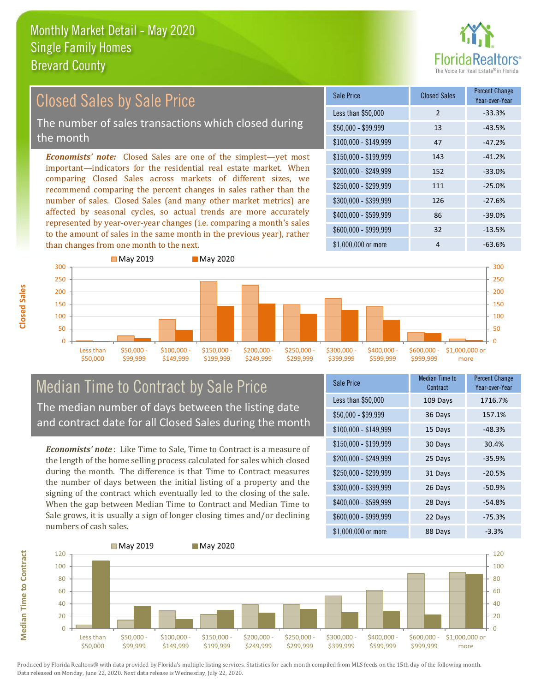

#### $$100,000 - $149,999$  47 -47.2% Sale Price Closed Sales Percent Change Year-over-Year Less than \$50,000 2 33.3% \$50,000 - \$99,999 13 -43.5% \$150,000 - \$199,999 143 -41.2% \$200,000 - \$249,999 152 -33.0% \$400,000 - \$599,999 86 -39.0% \$600,000 - \$999,999 32 -13.5% *Economists' note:* Closed Sales are one of the simplest—yet most important—indicators for the residential real estate market. When comparing Closed Sales across markets of different sizes, we recommend comparing the percent changes in sales rather than the number of sales. Closed Sales (and many other market metrics) are affected by seasonal cycles, so actual trends are more accurately represented by year-over-year changes (i.e. comparing a month's sales to the amount of sales in the same month in the previous year), rather than changes from one month to the next. \$1,000,000 or more 4  $-63.6\%$  $$250.000 - $299.999$  111  $-25.0\%$ \$300,000 - \$399,999 126 -27.6% 300 **May 2019** May 2020 300 Closed Sales by Sale Price The number of sales transactions which closed during the month



### Median Time to Contract by Sale Price The median number of days between the listing date and contract date for all Closed Sales during the month

*Economists' note* : Like Time to Sale, Time to Contract is a measure of the length of the home selling process calculated for sales which closed during the month. The difference is that Time to Contract measures the number of days between the initial listing of a property and the signing of the contract which eventually led to the closing of the sale. When the gap between Median Time to Contract and Median Time to Sale grows, it is usually a sign of longer closing times and/or declining numbers of cash sales.

| Sale Price            | Median Time to<br>Contract | <b>Percent Change</b><br>Year-over-Year |
|-----------------------|----------------------------|-----------------------------------------|
| Less than \$50,000    | 109 Days                   | 1716.7%                                 |
| $$50,000 - $99,999$   | 36 Days                    | 157.1%                                  |
| $$100,000 - $149,999$ | 15 Days                    | $-48.3%$                                |
| $$150,000 - $199,999$ | 30 Days                    | 30.4%                                   |
| \$200,000 - \$249,999 | 25 Days                    | $-35.9%$                                |
| \$250,000 - \$299,999 | 31 Days                    | $-20.5%$                                |
| \$300,000 - \$399,999 | 26 Days                    | $-50.9%$                                |
| \$400,000 - \$599,999 | 28 Days                    | $-54.8%$                                |
| \$600,000 - \$999,999 | 22 Days                    | $-75.3%$                                |
| \$1,000,000 or more   | 88 Days                    | $-3.3%$                                 |



Produced by Florida Realtors® with data provided by Florida's multiple listing services. Statistics for each month compiled from MLS feeds on the 15th day of the following month. Data released on Monday, June 22, 2020. Next data release is Wednesday, July 22, 2020.

**Median Time to Contract**

**Median Time to Contract**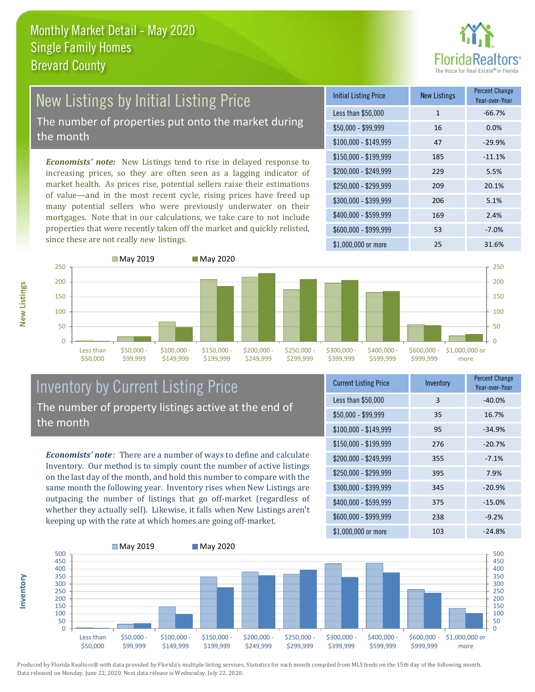

# New Listings by Initial Listing Price The number of properties put onto the market during

the month

*Economists' note:* New Listings tend to rise in delayed response to increasing prices, so they are often seen as a lagging indicator of market health. As prices rise, potential sellers raise their estimations of value—and in the most recent cycle, rising prices have freed up many potential sellers who were previously underwater on their mortgages. Note that in our calculations, we take care to not include properties that were recently taken off the market and quickly relisted, since these are not really *new* listings.

| <b>Initial Listing Price</b> | <b>New Listings</b> | <b>Percent Change</b><br>Year-over-Year |
|------------------------------|---------------------|-----------------------------------------|
| Less than \$50,000           | $\mathbf{1}$        | $-66.7%$                                |
| $$50,000 - $99,999$          | 16                  | 0.0%                                    |
| $$100,000 - $149,999$        | 47                  | $-29.9%$                                |
| $$150,000 - $199,999$        | 185                 | $-11.1%$                                |
| \$200,000 - \$249,999        | 229                 | 5.5%                                    |
| \$250,000 - \$299,999        | 209                 | 20.1%                                   |
| \$300,000 - \$399,999        | 206                 | 5.1%                                    |
| \$400,000 - \$599,999        | 169                 | 2.4%                                    |
| \$600,000 - \$999,999        | 53                  | $-7.0%$                                 |
| \$1,000,000 or more          | 25                  | 31.6%                                   |



#### Inventory by Current Listing Price The number of property listings active at the end of the month

*Economists' note* : There are a number of ways to define and calculate Inventory. Our method is to simply count the number of active listings on the last day of the month, and hold this number to compare with the same month the following year. Inventory rises when New Listings are outpacing the number of listings that go off-market (regardless of whether they actually sell). Likewise, it falls when New Listings aren't keeping up with the rate at which homes are going off-market.

| <b>Current Listing Price</b> | Inventory | <b>Percent Change</b><br>Year-over-Year |
|------------------------------|-----------|-----------------------------------------|
| Less than \$50,000           | 3         | $-40.0%$                                |
| $$50,000 - $99,999$          | 35        | 16.7%                                   |
| $$100,000 - $149,999$        | 95        | $-34.9%$                                |
| $$150,000 - $199,999$        | 276       | $-20.7%$                                |
| \$200,000 - \$249,999        | 355       | $-7.1%$                                 |
| \$250,000 - \$299,999        | 395       | 7.9%                                    |
| \$300,000 - \$399,999        | 345       | $-20.9%$                                |
| \$400,000 - \$599,999        | 375       | $-15.0%$                                |
| \$600,000 - \$999,999        | 238       | $-9.2%$                                 |
| \$1,000,000 or more          | 103       | $-24.8%$                                |



Produced by Florida Realtors® with data provided by Florida's multiple listing services. Statistics for each month compiled from MLS feeds on the 15th day of the following month. Data released on Monday, June 22, 2020. Next data release is Wednesday, July 22, 2020.

**Inventory**